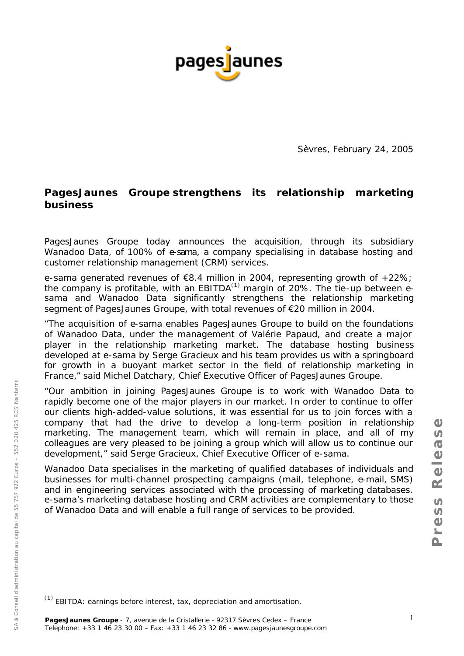

Sèvres, February 24, 2005

# **PagesJaunes Groupe strengthens its relationship marketing business**

PagesJaunes Groupe today announces the acquisition, through its subsidiary Wanadoo Data, of 100% of e-sama, a company specialising in database hosting and customer relationship management (CRM) services.

e-sama generated revenues of €8.4 million in 2004, representing growth of +22%; the company is profitable, with an EBITDA $^{(1)}$  margin of 20%. The tie-up between esama and Wanadoo Data significantly strengthens the relationship marketing segment of PagesJaunes Groupe, with total revenues of €20 million in 2004.

"*The acquisition of e-sama enables PagesJaunes Groupe to build on the foundations of Wanadoo Data, under the management of Valérie Papaud, and create a major player in the relationship marketing market. The database hosting business developed at e-sama by Serge Gracieux and his team provides us with a springboard for growth in a buoyant market sector in the field of relationship marketing in France,*" said Michel Datchary, Chief Executive Officer of PagesJaunes Groupe.

"*Our ambition in joining PagesJaunes Groupe is to work with Wanadoo Data to* rapidly become one of the major players in our market. In order to continue to offer *our clients high-added-value solutions, it was essential for us to join forces with a company that had the drive to develop a long-term position in relationship marketing. The management team, which will remain in place, and all of my colleagues are very pleased to be joining a group which will allow us to continue our development,"* said Serge Gracieux, Chief Executive Officer of e-sama.

Wanadoo Data specialises in the marketing of qualified databases of individuals and businesses for multi-channel prospecting campaigns (mail, telephone, e-mail, SMS) and in engineering services associated with the processing of marketing databases. e-sama's marketing database hosting and CRM activities are complementary to those of Wanadoo Data and will enable a full range of services to be provided.

 $(1)$  EBITDA: earnings before interest, tax, depreciation and amortisation.

SA à Conseil d'administration au capital de 55 757 922 Euros

SA

à Conseil d'administration au capital de 55 757 922 Euros – 552 028 425 RCS Nanterre

– 552 028 425 RCS Nanterre